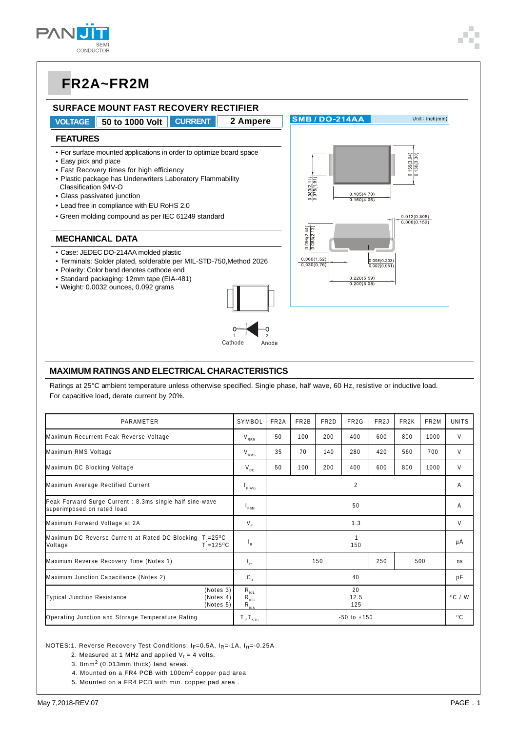



#### **MAXIMUM RATINGS AND ELECTRICAL CHARACTERISTICS**

Ratings at 25°C ambient temperature unless otherwise specified. Single phase, half wave, 60 Hz, resistive or inductive load. For capacitive load, derate current by 20%.

| PARAMETER                                                                                             | SYMBOL                                                                                                | FR <sub>2</sub> A | FR <sub>2</sub> B | FR <sub>2</sub> D | FR <sub>2</sub> G | FR <sub>2</sub> J | FR <sub>2</sub> K | FR <sub>2</sub> M | <b>UNITS</b> |
|-------------------------------------------------------------------------------------------------------|-------------------------------------------------------------------------------------------------------|-------------------|-------------------|-------------------|-------------------|-------------------|-------------------|-------------------|--------------|
| Maximum Recurrent Peak Reverse Voltage                                                                | $\rm V_{_{RRM}}$                                                                                      | 50                | 100               | 200               | 400               | 600               | 800               | 1000              | V            |
| Maximum RMS Voltage                                                                                   | $V_{RMS}$                                                                                             | 35                | 70                | 140               | 280               | 420               | 560               | 700               | V            |
| Maximum DC Blocking Voltage                                                                           | $V_{\text{DC}}$                                                                                       | 50                | 100               | 200               | 400               | 600               | 800               | 1000              | V            |
| Maximum Average Rectified Current                                                                     | F(AV)                                                                                                 | 2                 |                   |                   |                   |                   |                   |                   | A            |
| Peak Forward Surge Current: 8.3ms single half sine-wave<br>superimposed on rated load                 | 'FSM                                                                                                  | 50                |                   |                   |                   |                   |                   | A                 |              |
| Maximum Forward Voltage at 2A                                                                         | $V_F$                                                                                                 | 1.3               |                   |                   |                   |                   |                   |                   | V            |
| Maximum DC Reverse Current at Rated DC Blocking T <sub>1</sub> =25°C<br>$T = 125^{\circ}C$<br>Voltage | $\mathsf{I}_{\mathsf{R}}$                                                                             | 1<br>150          |                   |                   |                   |                   | μA                |                   |              |
| Maximum Reverse Recovery Time (Notes 1)                                                               |                                                                                                       | 150               |                   |                   |                   | 250<br>500        |                   |                   | ns           |
| Maximum Junction Capacitance (Notes 2)                                                                | $\mathbf{C}_{\mathrm{J}}$                                                                             | 40                |                   |                   |                   | pF                |                   |                   |              |
| (Notes 3)<br>Typical Junction Resistance<br>(Notes 4)<br>(Notes 5)                                    | $R_{\scriptscriptstyle{\theta\text{JL}}}$<br>$R_{\theta$ JC<br>$R_{\underline{\theta},\underline{A}}$ | 20<br>12.5<br>125 |                   |                   |                   | $^{\circ}$ C / W  |                   |                   |              |
| Operating Junction and Storage Temperature Rating                                                     |                                                                                                       | $-50$ to $+150$   |                   |                   |                   |                   |                   | $^{\circ}$ C      |              |

NOTES:1. Reverse Recovery Test Conditions: IF=0.5A, IR=-1A, Irr=-0.25A

2. Measured at 1 MHz and applied  $V_r = 4$  volts.

3. 8mm2 (0.013mm thick) land areas.

4. Mounted on a FR4 PCB with 100cm2 copper pad area

5. Mounted on a FR4 PCB with min. copper pad area .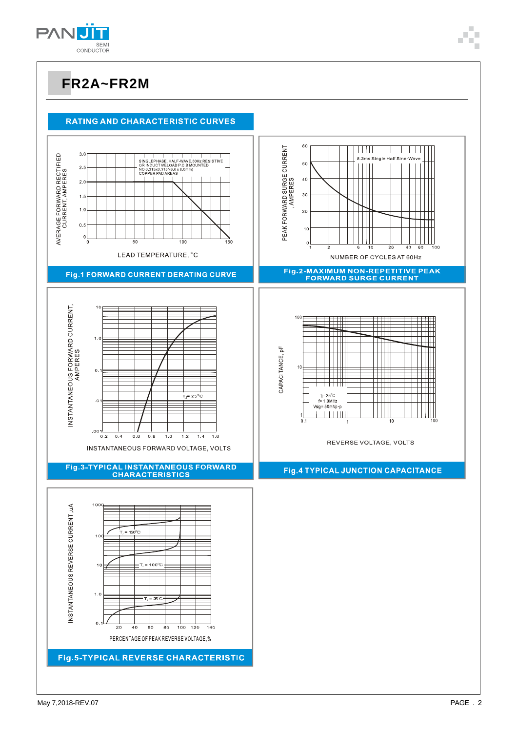

#### **RATING AND CHARACTERISTIC CURVES**

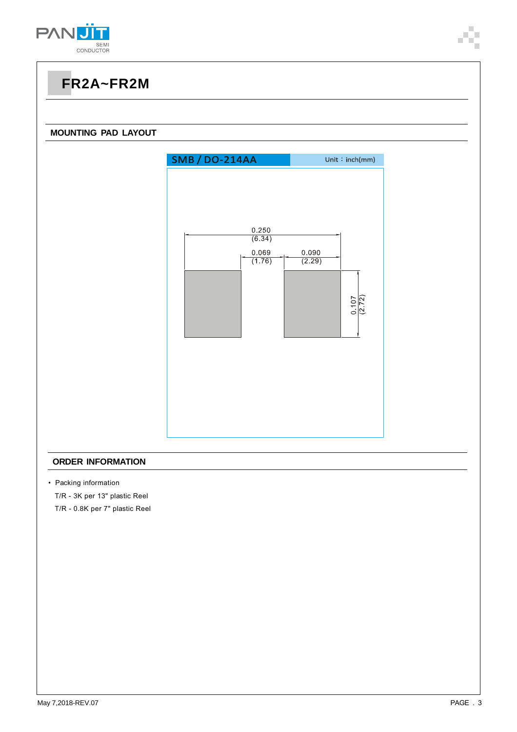



#### **ORDER INFORMATION**

• Packing information

T/R - 3K per 13" plastic Reel

T/R - 0.8K per 7" plastic Reel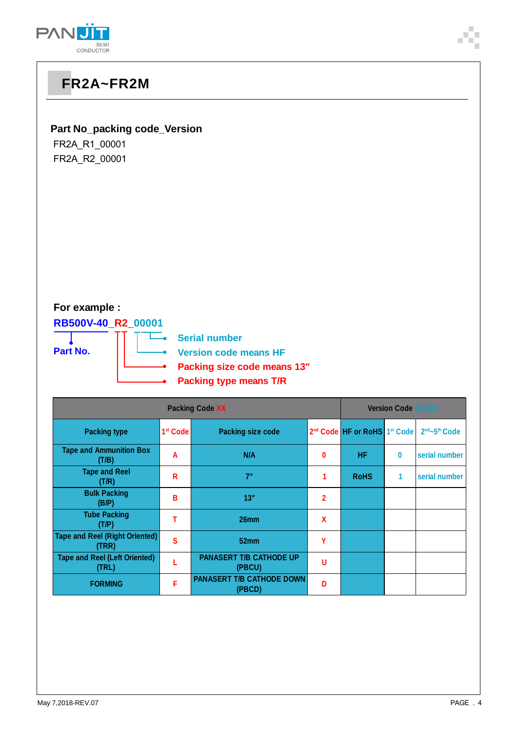

#### **Part No\_packing code\_Version**

FR2A\_R1\_00001 FR2A\_R2\_00001

#### **For example :**

**RB500V-40\_R2\_00001**



**→ Serial number** 

**Version code means HF**

- **Packing size code means 13"**
- **Packing type means T/R**

| <b>Packing Code XX</b>                         |                      |                                            |                | <b>Version Code XXXXX</b>                            |   |               |  |  |
|------------------------------------------------|----------------------|--------------------------------------------|----------------|------------------------------------------------------|---|---------------|--|--|
| <b>Packing type</b>                            | 1 <sup>st</sup> Code | <b>Packing size code</b>                   |                | 2 <sup>nd</sup> Code HF or RoHS 1 <sup>st</sup> Code |   | 2nd~5th Code  |  |  |
| <b>Tape and Ammunition Box</b><br>(T/B)        | A                    | N/A                                        | 0              | <b>HF</b>                                            | 0 | serial number |  |  |
| <b>Tape and Reel</b><br>(T/R)                  | R                    | 7"                                         |                | <b>RoHS</b>                                          | 1 | serial number |  |  |
| <b>Bulk Packing</b><br>(B/P)                   | в                    | 13"                                        | $\overline{2}$ |                                                      |   |               |  |  |
| <b>Tube Packing</b><br>(T/P)                   |                      | 26 <sub>mm</sub>                           | X              |                                                      |   |               |  |  |
| <b>Tape and Reel (Right Oriented)</b><br>(TRR) | S                    | 52mm                                       | γ              |                                                      |   |               |  |  |
| <b>Tape and Reel (Left Oriented)</b><br>(TRL)  |                      | <b>PANASERT T/B CATHODE UP</b><br>(PBCU)   | u              |                                                      |   |               |  |  |
| <b>FORMING</b>                                 | F                    | <b>PANASERT T/B CATHODE DOWN</b><br>(PBCD) | n              |                                                      |   |               |  |  |